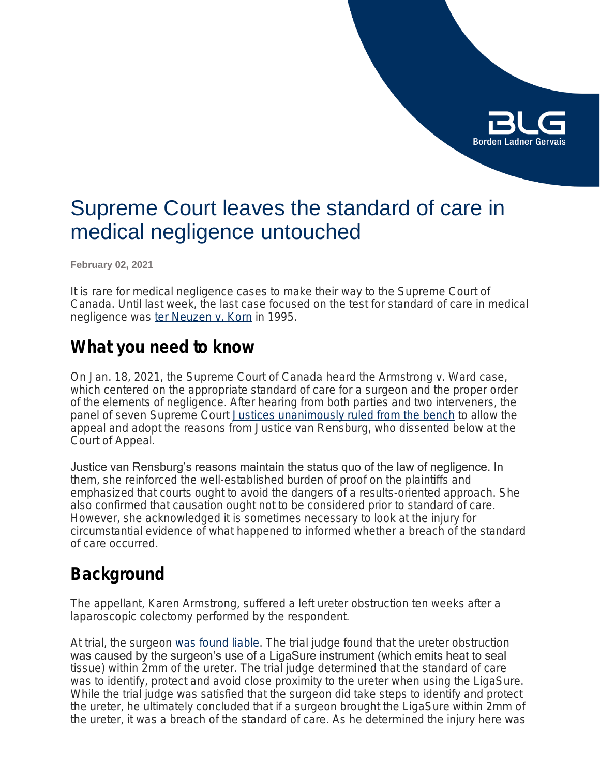

# Supreme Court leaves the standard of care in medical negligence untouched

**February 02, 2021**

It is rare for medical negligence cases to make their way to the Supreme Court of Canada. Until last week, the last case focused on the test for standard of care in medical negligence was *[ter Neuzen](https://scc-csc.lexum.com/scc-csc/scc-csc/en/item/1300/index.do) [v. Korn](https://scc-csc.lexum.com/scc-csc/scc-csc/en/item/1300/index.do)* in 1995.

### **What you need to know**

On Jan. 18, 2021, the Supreme Court of Canada heard the *Armstrong v. Ward* case, which centered on the appropriate standard of care for a surgeon and the proper order of the elements of negligence. After hearing from both parties and two interveners, the panel of seven Supreme Court [Justices unanimously ruled from the bench](https://scc-csc.lexum.com/scc-csc/scc-csc/en/item/18647/index.do) to allow the appeal and adopt the reasons from Justice van Rensburg, who dissented below at the Court of Appeal.

Justice van Rensburg's reasons maintain the status quo of the law of negligence. In them, she reinforced the well-established burden of proof on the plaintiffs and emphasized that courts ought to avoid the dangers of a results-oriented approach. She also confirmed that causation ought not to be considered prior to standard of care. However, she acknowledged it is sometimes necessary to look at the injury for circumstantial evidence of what happened to informed whether a breach of the standard of care occurred.

## **Background**

The appellant, Karen Armstrong, suffered a left ureter obstruction ten weeks after a laparoscopic colectomy performed by the respondent.

At trial, the surgeon [was found liable.](https://www.canlii.org/en/on/onsc/doc/2018/2018onsc2439/2018onsc2439.html?searchUrlHash=AAAAAQAEd2FyZAAAAAAB&resultIndex=2) The trial judge found that the ureter obstruction was caused by the surgeon's use of a LigaSure instrument (which emits heat to seal tissue) within 2mm of the ureter. The trial judge determined that the standard of care was to identify, protect and avoid close proximity to the ureter when using the LigaSure. While the trial judge was satisfied that the surgeon did take steps to identify and protect the ureter, he ultimately concluded that if a surgeon brought the LigaSure within 2mm of the ureter, it was a breach of the standard of care. As he determined the injury here was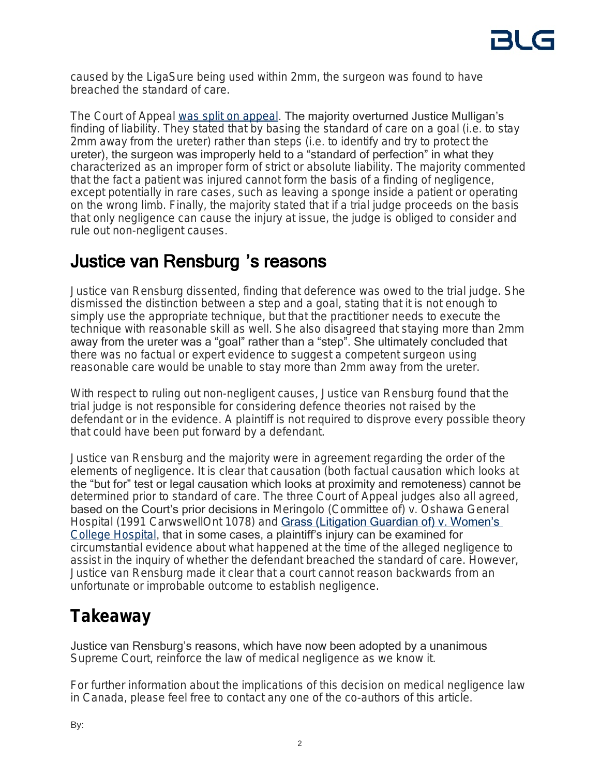caused by the LigaSure being used within 2mm, the surgeon was found to have breached the standard of care.

The Court of Appeal [was split on appeal](https://www.ontariocourts.ca/decisions/2019/2019ONCA0963.pdf). The majority overturned Justice Mulligan's finding of liability. They stated that by basing the standard of care on a goal (*i.e.* to stay 2mm away from the ureter) rather than steps (*i.e.* to identify and try to protect the ureter), the surgeon was improperly held to a "standard of perfection" in what they characterized as an improper form of strict or absolute liability. The majority commented that the fact a patient was injured cannot form the basis of a finding of negligence, except potentially in rare cases, such as leaving a sponge inside a patient or operating on the wrong limb. Finally, the majority stated that if a trial judge proceeds on the basis that only negligence can cause the injury at issue, the judge is obliged to consider and rule out non-negligent causes.

# Justice van Rensburg 's reasons

Justice van Rensburg dissented, finding that deference was owed to the trial judge. She dismissed the distinction between a step and a goal, stating that it is not enough to simply use the appropriate technique, but that the practitioner needs to execute the technique with reasonable skill as well. She also disagreed that staying more than 2mm away from the ureter was a "goal" rather than a "step". She ultimately concluded that there was no factual or expert evidence to suggest a competent surgeon using reasonable care would be unable to stay more than 2mm away from the ureter.

With respect to ruling out non-negligent causes, Justice van Rensburg found that the trial judge is not responsible for considering defence theories not raised by the defendant or in the evidence. A plaintiff is not required to disprove every possible theory that could have been put forward by a defendant.

Justice van Rensburg and the majority were in agreement regarding the order of the elements of negligence. It is clear that causation (both factual causation which looks at the "but for" test or legal causation which looks at proximity and remoteness) cannot be determined prior to standard of care. The three Court of Appeal judges also all agreed, based on the Court's prior decisions in *Meringolo (Committee of) v. Oshawa General Hospital* (1991 CarwswellOnt 1078) and [Grass \(Litigation Guardian of\) v. Women's](https://www.canlii.org/en/on/onca/doc/2001/2001canlii8526/2001canlii8526.html?resultIndex=1)  *[College Hospital](https://www.canlii.org/en/on/onca/doc/2001/2001canlii8526/2001canlii8526.html?resultIndex=1)*, that in some cases, a plaintiff's injury can be examined for circumstantial evidence about what happened at the time of the alleged negligence to assist in the inquiry of whether the defendant breached the standard of care. However, Justice van Rensburg made it clear that a court cannot reason backwards from an unfortunate or improbable outcome to establish negligence.

# **Takeaway**

Justice van Rensburg's reasons, which have now been adopted by a unanimous Supreme Court, reinforce the law of medical negligence as we know it.

For further information about the implications of this decision on medical negligence law in Canada, please feel free to contact any one of the co-authors of this article.